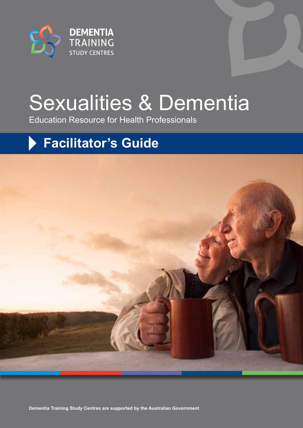

# Sexualities & Dementia

Education Resource for Health Professionals

## **Facilitator's Guide**

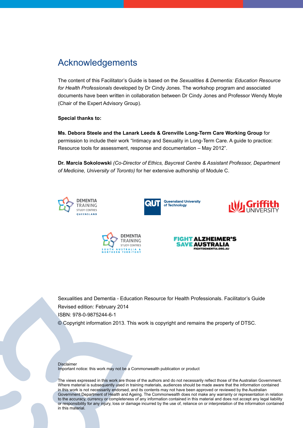### Acknowledgements

The content of this Facilitator's Guide is based on the *Sexualities & Dementia: Education Resource for Health Professionals* developed by Dr Cindy Jones. The workshop program and associated documents have been written in collaboration between Dr Cindy Jones and Professor Wendy Moyle (Chair of the Expert Advisory Group).

#### **Special thanks to:**

**Ms. Debora Steele and the Lanark Leeds & Grenville Long-Term Care Working Group** for permission to include their work "Intimacy and Sexuality in Long-Term Care. A guide to practice: Resource tools for assessment, response and documentation – May 2012".

**Dr. Marcia Sokolowski** *(Co-Director of Ethics, Baycrest Centre & Assistant Professor, Department of Medicine, University of Toronto)* for her extensive authorship of Module C.











Sexualities and Dementia - Education Resource for Health Professionals. Facilitator's Guide Revised edition: February 2014 ISBN: 978-0-9875244-6-1 © Copyright information 2013. This work is copyright and remains the property of DTSC.

#### Disclaimer

Important notice: this work may not be a Commonwealth publication or product

The views expressed in this work are those of the authors and do not necessarily reflect those of the Australian Government. Where material is subsequently used in training materials, audiences should be made aware that the information contained in this work is not necessarily endorsed, and its contents may not have been approved or reviewed by the Australian Government Department of Health and Ageing. The Commonwealth does not make any warranty or representation in relation to the accuracy, currency or completeness of any information contained in this material and does not accept any legal liability or responsibility for any injury, loss or damage incurred by the use of, reliance on or interpretation of the information contained in this material.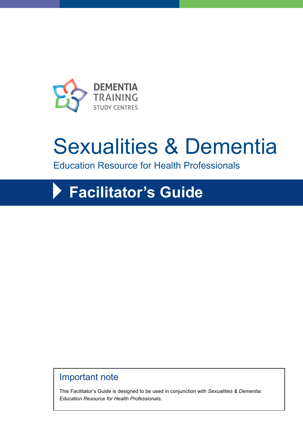

# Sexualities & Dementia

Education Resource for Health Professionals

## **Facilitator's Guide**

## Important note

This Facilitator's Guide is designed to be used in conjunction with *Sexualities & Dementia: Education Resource for Health Professionals.*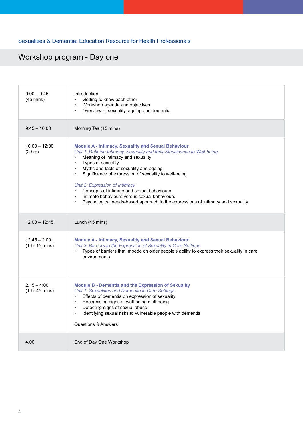#### Sexualities & Dementia: Education Resource for Health Professionals

## Workshop program - Day one

| $9:00 - 9:45$<br>$(45 \text{ mins})$ | Introduction<br>Getting to know each other<br>Workshop agenda and objectives<br>$\bullet$<br>Overview of sexuality, ageing and dementia                                                                                                                                                                                                                                                                                                                                                                                                             |
|--------------------------------------|-----------------------------------------------------------------------------------------------------------------------------------------------------------------------------------------------------------------------------------------------------------------------------------------------------------------------------------------------------------------------------------------------------------------------------------------------------------------------------------------------------------------------------------------------------|
| $9:45 - 10:00$                       | Morning Tea (15 mins)                                                                                                                                                                                                                                                                                                                                                                                                                                                                                                                               |
| $10:00 - 12:00$<br>$(2 \text{ hrs})$ | <b>Module A - Intimacy, Sexuality and Sexual Behaviour</b><br>Unit 1: Defining Intimacy, Sexuality and their Significance to Well-being<br>Meaning of intimacy and sexuality<br>Types of sexuality<br>$\bullet$<br>Myths and facts of sexuality and ageing<br>$\bullet$<br>Significance of expression of sexuality to well-being<br>Unit 2: Expression of Intimacy<br>Concepts of intimate and sexual behaviours<br>Intimate behaviours versus sexual behaviours<br>Psychological needs-based approach to the expressions of intimacy and sexuality |
| $12:00 - 12:45$                      | Lunch (45 mins)                                                                                                                                                                                                                                                                                                                                                                                                                                                                                                                                     |
| $12:45 - 2.00$<br>(1 hr 15 mins)     | <b>Module A - Intimacy, Sexuality and Sexual Behaviour</b><br>Unit 3: Barriers to the Expression of Sexuality in Care Settings<br>Types of barriers that impede on older people's ability to express their sexuality in care<br>environments                                                                                                                                                                                                                                                                                                        |
| $2.15 - 4:00$<br>(1 hr 45 mins)      | <b>Module B - Dementia and the Expression of Sexuality</b><br>Unit 1: Sexualities and Dementia in Care Settings<br>Effects of dementia on expression of sexuality<br>$\bullet$<br>Recognising signs of well-being or ill-being<br>Detecting signs of sexual abuse<br>$\bullet$<br>Identifying sexual risks to vulnerable people with dementia<br>Questions & Answers                                                                                                                                                                                |
| 4.00                                 | End of Day One Workshop                                                                                                                                                                                                                                                                                                                                                                                                                                                                                                                             |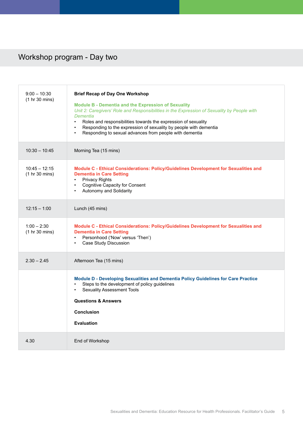## Workshop program - Day two

| $9:00 - 10:30$<br>(1 hr 30 mins)  | <b>Brief Recap of Day One Workshop</b><br><b>Module B - Dementia and the Expression of Sexuality</b><br>Unit 2: Caregivers' Role and Responsibilities in the Expression of Sexuality by People with<br>Dementia<br>Roles and responsibilities towards the expression of sexuality<br>$\bullet$<br>Responding to the expression of sexuality by people with dementia<br>$\bullet$<br>Responding to sexual advances from people with dementia<br>$\bullet$ |
|-----------------------------------|----------------------------------------------------------------------------------------------------------------------------------------------------------------------------------------------------------------------------------------------------------------------------------------------------------------------------------------------------------------------------------------------------------------------------------------------------------|
| $10:30 - 10:45$                   | Morning Tea (15 mins)                                                                                                                                                                                                                                                                                                                                                                                                                                    |
| $10:45 - 12:15$<br>(1 hr 30 mins) | Module C - Ethical Considerations: Policy/Guidelines Development for Sexualities and<br><b>Dementia in Care Setting</b><br><b>Privacy Rights</b><br>$\bullet$<br><b>Cognitive Capacity for Consent</b><br>$\bullet$<br>Autonomy and Solidarity                                                                                                                                                                                                           |
| $12:15 - 1:00$                    | Lunch (45 mins)                                                                                                                                                                                                                                                                                                                                                                                                                                          |
| $1:00 - 2:30$<br>(1 hr 30 mins)   | Module C - Ethical Considerations: Policy/Guidelines Development for Sexualities and<br><b>Dementia in Care Setting</b><br>Personhood ('Now' versus 'Then')<br>$\bullet$<br>Case Study Discussion                                                                                                                                                                                                                                                        |
| $2.30 - 2.45$                     | Afternoon Tea (15 mins)                                                                                                                                                                                                                                                                                                                                                                                                                                  |
|                                   | Module D - Developing Sexualities and Dementia Policy Guidelines for Care Practice<br>Steps to the development of policy guidelines<br><b>Sexuality Assessment Tools</b><br><b>Questions &amp; Answers</b><br><b>Conclusion</b><br><b>Evaluation</b>                                                                                                                                                                                                     |
| 4.30                              | End of Workshop                                                                                                                                                                                                                                                                                                                                                                                                                                          |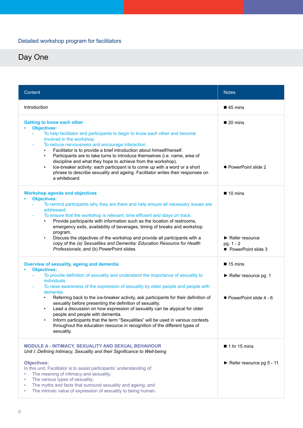#### Detailed workshop program for facilitators

| Content                                                                                                                                                                                                                                                                                                                                                                                                                                                                                                                                                                                                                                                                                                                                                       | <b>Notes</b>                                                                                        |
|---------------------------------------------------------------------------------------------------------------------------------------------------------------------------------------------------------------------------------------------------------------------------------------------------------------------------------------------------------------------------------------------------------------------------------------------------------------------------------------------------------------------------------------------------------------------------------------------------------------------------------------------------------------------------------------------------------------------------------------------------------------|-----------------------------------------------------------------------------------------------------|
| Introduction                                                                                                                                                                                                                                                                                                                                                                                                                                                                                                                                                                                                                                                                                                                                                  | $\blacksquare$ 45 mins                                                                              |
| <b>Getting to know each other</b><br><b>Objectives:</b><br>To help facilitator and participants to begin to know each other and become<br>involved in the workshop.<br>To reduce nervousness and encourage interaction.<br>Facilitator is to provide a brief introduction about himself/herself.<br>$\bullet$<br>Participants are to take turns to introduce themselves (i.e. name, area of<br>$\bullet$<br>discipline and what they hope to achieve from the workshop).<br>Ice-breaker activity: each participant is to come up with a word or a short<br>$\bullet$<br>phrase to describe sexuality and ageing. Facilitator writes their responses on<br>a whiteboard.                                                                                       | $\blacksquare$ 20 mins<br>• PowerPoint slide 2                                                      |
| <b>Workshop agenda and objectives</b><br><b>Objectives:</b><br>To remind participants why they are there and help ensure all necessary issues are<br>addressed.<br>To ensure that the workshop is relevant, time efficient and stays on track.<br>Provide participants with information such as the location of restrooms,<br>emergency exits, availability of beverages, timing of breaks and workshop<br>program.<br>Discuss the objectives of the workshop and provide all participants with a<br>$\bullet$<br>copy of the (a) Sexualities and Dementia: Education Resource for Health<br>Professionals; and (b) PowerPoint slides.                                                                                                                        | $\blacksquare$ 10 mins<br>$\blacktriangleright$ Refer resource<br>pg. 1 - 2<br>• PowerPoint slide 3 |
| <b>Overview of sexuality, ageing and dementia</b><br><b>Objectives:</b><br>To provide definition of sexuality and understand the importance of sexuality to<br>individuals.<br>To raise awareness of the expression of sexuality by older people and people with<br>dementia.<br>Referring back to the ice-breaker activity, ask participants for their definition of<br>sexuality before presenting the definition of sexuality.<br>Lead a discussion on how expression of sexuality can be atypical for older<br>$\bullet$<br>people and people with dementia.<br>Inform participants that the term "Sexualities" will be used in various contexts<br>$\bullet$<br>throughout the education resource in recognition of the different types of<br>sexuality. | $\blacksquare$ 15 mins<br>Refer resource pg. 1<br>• PowerPoint slide 4 - 6                          |
| MODULE A - INTIMACY, SEXUALITY AND SEXUAL BEHAVIOUR<br>Unit I: Defining Intimacy, Sexuality and their Significance to Well-being<br><b>Objectives:</b><br>In this unit, Facilitator is to assist participants' understanding of:<br>The meaning of intimacy and sexuality;<br>The various types of sexuality;<br>The myths and facts that surround sexuality and ageing; and<br>The intrinsic value of expression of sexuality to being human.                                                                                                                                                                                                                                                                                                                | $\blacksquare$ 1 hr 15 mins<br>Refer resource pg 5 - 11                                             |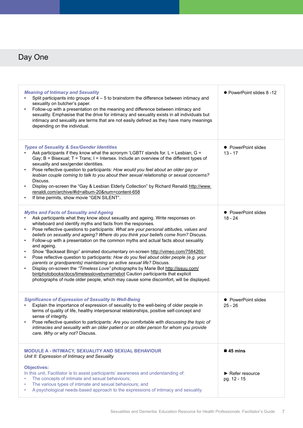| <b>Meaning of Intimacy and Sexuality</b><br>Split participants into groups of $4-5$ to brainstorm the difference between intimacy and<br>sexuality on butcher's paper.<br>Follow-up with a presentation on the meaning and difference between intimacy and<br>$\bullet$<br>sexuality. Emphasise that the drive for intimacy and sexuality exists in all individuals but<br>intimacy and sexuality are terms that are not easily defined as they have many meanings<br>depending on the individual.                                                                                                                                                                                                                                                                                                                                                                                                                                                                                                                                                     | ● PowerPoint slides 8 -12                           |
|--------------------------------------------------------------------------------------------------------------------------------------------------------------------------------------------------------------------------------------------------------------------------------------------------------------------------------------------------------------------------------------------------------------------------------------------------------------------------------------------------------------------------------------------------------------------------------------------------------------------------------------------------------------------------------------------------------------------------------------------------------------------------------------------------------------------------------------------------------------------------------------------------------------------------------------------------------------------------------------------------------------------------------------------------------|-----------------------------------------------------|
| <b>Types of Sexuality &amp; Sex/Gender Identities</b><br>Ask participants if they know what the acronym 'LGBTI' stands for. $L =$ Lesbian; G =<br>Gay; B = Bisexual; T = Trans; I = Intersex. Include an overview of the different types of<br>sexuality and sex/gender identities.<br>Pose reflective question to participants: How would you feel about an older gay or<br>$\bullet$<br>lesbian couple coming to talk to you about their sexual relationship or sexual concerns?<br>Discuss.<br>Display on-screen the "Gay & Lesbian Elderly Collection" by Richard Renaldi http://www.<br>renaldi.com/archive/#id=album-20#=content-658<br>If time permits, show movie "GEN SILENT".                                                                                                                                                                                                                                                                                                                                                                | • PowerPoint slides<br>$13 - 17$                    |
| <b>Myths and Facts of Sexuality and Ageing</b><br>Ask participants what they know about sexuality and ageing. Write responses on<br>whiteboard and identify myths and facts from the responses.<br>Pose reflective questions to participants: What are your personal attitudes, values and<br>$\bullet$<br>beliefs on sexuality and ageing? Where do you think your beliefs come from? Discuss.<br>Follow-up with a presentation on the common myths and actual facts about sexuality<br>and ageing.<br>Show "Backseat Bingo" animated documentary on-screen http://vimeo.com/7584260<br>$\bullet$<br>Pose reflective question to participants: How do you feel about older people (e.g. your<br>٠<br>parents or grandparents) maintaining an active sexual life? Discuss.<br>Display on-screen the "Timeless Love" photographs by Marie Bot http://issuu.com/<br>$\bullet$<br>bintphotobooks/docs/timelesslovebymarriebot Caution participants that explicit<br>photographs of nude older people, which may cause some discomfort, will be displayed. | • PowerPoint slides<br>$18 - 24$                    |
| <b>Significance of Expression of Sexuality to Well-Being</b><br>Explain the importance of expression of sexuality to the well-being of older people in<br>terms of quality of life, healthy interpersonal relationships, positive self-concept and<br>sense of integrity.<br>Pose reflective question to participants: Are you comfortable with discussing the topic of<br>intimacies and sexuality with an older patient or an older person for whom you provide<br>care. Why or why not? Discuss.                                                                                                                                                                                                                                                                                                                                                                                                                                                                                                                                                    | • PowerPoint slides<br>$25 - 26$                    |
| MODULE A - INTIMACY, SEXUALITY AND SEXUAL BEHAVIOUR<br>Unit II: Expression of Intimacy and Sexuality                                                                                                                                                                                                                                                                                                                                                                                                                                                                                                                                                                                                                                                                                                                                                                                                                                                                                                                                                   | $\blacksquare$ 45 mins                              |
| <b>Objectives:</b><br>In this unit, Facilitator is to assist participants' awareness and understanding of:<br>The concepts of intimate and sexual behaviours;<br>The various types of intimate and sexual behaviours; and<br>A psychological needs-based approach to the expressions of intimacy and sexuality.                                                                                                                                                                                                                                                                                                                                                                                                                                                                                                                                                                                                                                                                                                                                        | $\blacktriangleright$ Refer resource<br>pg. 12 - 15 |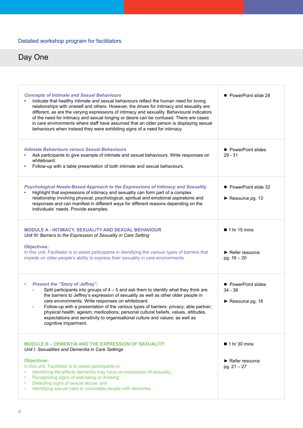| <b>Concepts of Intimate and Sexual Behaviours</b><br>Indicate that healthy intimate and sexual behaviours reflect the human need for loving<br>relationships with oneself and others. However, the drives for intimacy and sexuality are<br>different, as are the varying expressions of intimacy and sexuality. Behavioural indicators<br>of the need for intimacy and sexual longing or desire can be confused. There are cases<br>in care environments where staff have assumed that an older person is displaying sexual<br>behaviours when instead they were exhibiting signs of a need for intimacy. | PowerPoint slide 28                                                                  |
|------------------------------------------------------------------------------------------------------------------------------------------------------------------------------------------------------------------------------------------------------------------------------------------------------------------------------------------------------------------------------------------------------------------------------------------------------------------------------------------------------------------------------------------------------------------------------------------------------------|--------------------------------------------------------------------------------------|
| <b>Intimate Behaviours versus Sexual Behaviours</b><br>Ask participants to give example of intimate and sexual behaviours. Write responses on<br>whiteboard.<br>Follow-up with a table presentation of both intimate and sexual behaviours.                                                                                                                                                                                                                                                                                                                                                                | • PowerPoint slides<br>$29 - 31$                                                     |
| Psychological Needs-Based Approach to the Expressions of Intimacy and Sexuality<br>Highlight that expressions of intimacy and sexuality can form part of a complex<br>relationship involving physical, psychological, spiritual and emotional aspirations and<br>responses and can manifest in different ways for different reasons depending on the<br>individuals' needs. Provide examples.                                                                                                                                                                                                              | • PowerPoint slide 32<br>$\blacktriangleright$ Resource pg. 13                       |
| MODULE A - INTIMACY, SEXUALITY AND SEXUAL BEHAVIOUR<br>Unit III: Barriers to the Expression of Sexuality in Care Setting<br><b>Objectives:</b><br>In this unit, Facilitator is to assist participants in identifying the various types of barriers that<br>impede on older people's ability to express their sexuality in care environments.                                                                                                                                                                                                                                                               | $\blacksquare$ 1 hr 15 mins<br>$\blacktriangleright$ Refer resource<br>pg. $16 - 20$ |
| <b>Present the "Story of Jeffrey".</b><br>$\bullet$<br>Split participants into groups of $4-5$ and ask them to identify what they think are<br>the barriers to Jeffrey's expression of sexuality as well as other older people in<br>care environments. Write responses on whiteboard.<br>Follow-up with a presentation of the various types of barriers: privacy; able partner;<br>physical health; ageism; medications; personal cultural beliefs, values, attitudes,<br>expectations and sensitivity to organisational culture and values; as well as<br>cognitive impairment.                          | • PowerPoint slides<br>$34 - 38$<br>$\triangleright$ Resource pg. 16                 |
| <b>MODULE B - DEMENTIA AND THE EXPRESSION OF SEXUALITY</b><br>Unit I: Sexualities and Dementia in Care Settings<br><b>Objectives:</b><br>In this unit, Facilitator is to assist participants in:<br>Identifying the effects dementia may have on expression of sexuality;<br>Recognising signs of well-being or ill-being;<br>Detecting signs of sexual abuse; and<br>$\bullet$<br>Identifying sexual risks to vulnerable people with dementia.                                                                                                                                                            | $\blacksquare$ 1 hr 30 mins<br>$\blacktriangleright$ Refer resource<br>pg. 21 - 27   |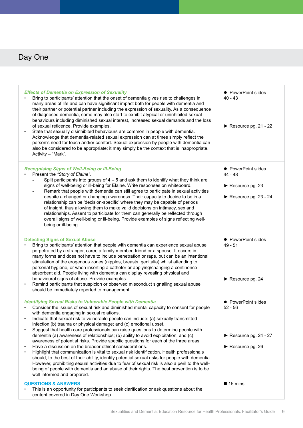| <b>Effects of Dementia on Expression of Sexuality</b><br>Bring to participants' attention that the onset of dementia gives rise to challenges in<br>many areas of life and can have significant impact both for people with dementia and<br>their partner or potential partner including the expression of sexuality. As a consequence<br>of diagnosed dementia, some may also start to exhibit atypical or uninhibited sexual<br>behaviours including diminished sexual interest, increased sexual demands and the loss<br>of sexual reticence. Provide examples.<br>State that sexually disinhibited behaviours are common in people with dementia.<br>Acknowledge that dementia-related sexual expression can at times simply reflect the<br>person's need for touch and/or comfort. Sexual expression by people with dementia can<br>also be considered to be appropriate; it may simply be the context that is inappropriate.<br>Activity - "Mark".                                                                                                                                                                                  | • PowerPoint slides<br>40 - 43<br>Resource pg. $21 - 22$                      |
|-------------------------------------------------------------------------------------------------------------------------------------------------------------------------------------------------------------------------------------------------------------------------------------------------------------------------------------------------------------------------------------------------------------------------------------------------------------------------------------------------------------------------------------------------------------------------------------------------------------------------------------------------------------------------------------------------------------------------------------------------------------------------------------------------------------------------------------------------------------------------------------------------------------------------------------------------------------------------------------------------------------------------------------------------------------------------------------------------------------------------------------------|-------------------------------------------------------------------------------|
| <b>Recognising Signs of Well-Being or III-Being</b><br>Present the "Story of Elaine".<br>Split participants into groups of $4 - 5$ and ask them to identify what they think are<br>signs of well-being or ill-being for Elaine. Write responses on whiteboard.<br>Remark that people with dementia can still agree to participate in sexual activities<br>despite a changed or changing awareness. Their capacity to decide to be in a<br>relationship can be 'decision-specific' where they may be capable of periods<br>of insight, thus allowing them to make valid decisions on intimacy, sex and<br>relationships. Assent to participate for them can generally be reflected through<br>overall signs of well-being or ill-being. Provide examples of signs reflecting well-<br>being or ill-being.                                                                                                                                                                                                                                                                                                                                  | • PowerPoint slides<br>44 - 48<br>Resource pg. 23<br>Resource pg. $23 - 24$   |
| <b>Detecting Signs of Sexual Abuse</b><br>Bring to participants' attention that people with dementia can experience sexual abuse<br>perpetrated by a stranger, carer, a family member, friend or a spouse. It occurs in<br>many forms and does not have to include penetration or rape, but can be an intentional<br>stimulation of the erogenous zones (nipples, breasts, genitalia) whilst attending to<br>personal hygiene, or when inserting a catheter or applying/changing a continence<br>absorbent aid. People living with dementia can display revealing physical and<br>behavioural signs of abuse. Provide examples.<br>Remind participants that suspicion or observed misconduct signalling sexual abuse<br>should be immediately reported to management.                                                                                                                                                                                                                                                                                                                                                                     | • PowerPoint slides<br>49 - 51<br>$\triangleright$ Resource pg. 24            |
| <b>Identifying Sexual Risks to Vulnerable People with Dementia</b><br>Consider the issues of sexual risk and diminished mental capacity to consent for people<br>with dementia engaging in sexual relations.<br>Indicate that sexual risk to vulnerable people can include: (a) sexually transmitted<br>infection (b) trauma or physical damage; and (c) emotional upset.<br>Suggest that health care professionals can raise questions to determine people with<br>dementia (a) awareness of relationships; (b) ability to avoid exploitation; and (c)<br>awareness of potential risks. Provide specific questions for each of the three areas.<br>Have a discussion on the broader ethical considerations.<br>Highlight that communication is vital to sexual risk identification. Health professionals<br>should, to the best of their ability, identify potential sexual risks for people with dementia.<br>However, prohibiting sexual activities due to fear of sexual risk is also a peril to the well-<br>being of people with dementia and an abuse of their rights. The best prevention is to be<br>well informed and prepared. | • PowerPoint slides<br>$52 - 56$<br>Resource pg. $24 - 27$<br>Resource pg. 26 |
| <b>QUESTIONS &amp; ANSWERS</b><br>This is an opportunity for participants to seek clarification or ask questions about the<br>content covered in Day One Workshop.                                                                                                                                                                                                                                                                                                                                                                                                                                                                                                                                                                                                                                                                                                                                                                                                                                                                                                                                                                        | $\blacksquare$ 15 mins                                                        |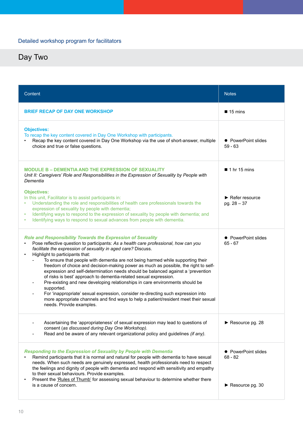| Content                                                                                                                                                                                                                                                                                                                                                                                                                                                                                                                                                                                                                                                                                                                                                                                                                                                                                                  | <b>Notes</b>                                                            |
|----------------------------------------------------------------------------------------------------------------------------------------------------------------------------------------------------------------------------------------------------------------------------------------------------------------------------------------------------------------------------------------------------------------------------------------------------------------------------------------------------------------------------------------------------------------------------------------------------------------------------------------------------------------------------------------------------------------------------------------------------------------------------------------------------------------------------------------------------------------------------------------------------------|-------------------------------------------------------------------------|
| <b>BRIEF RECAP OF DAY ONE WORKSHOP</b>                                                                                                                                                                                                                                                                                                                                                                                                                                                                                                                                                                                                                                                                                                                                                                                                                                                                   | $\blacksquare$ 15 mins                                                  |
| <b>Objectives:</b><br>To recap the key content covered in Day One Workshop with participants.<br>Recap the key content covered in Day One Workshop via the use of short-answer, multiple<br>choice and true or false questions.                                                                                                                                                                                                                                                                                                                                                                                                                                                                                                                                                                                                                                                                          | • PowerPoint slides<br>$59 - 63$                                        |
| <b>MODULE B - DEMENTIA AND THE EXPRESSION OF SEXUALITY</b><br>Unit II: Caregivers' Role and Responsibilities in the Expression of Sexuality by People with<br>Dementia                                                                                                                                                                                                                                                                                                                                                                                                                                                                                                                                                                                                                                                                                                                                   | $\blacksquare$ 1 hr 15 mins                                             |
| <b>Objectives:</b><br>In this unit, Facilitator is to assist participants in:<br>Understanding the role and responsibilities of health care professionals towards the<br>expression of sexuality by people with dementia;<br>Identifying ways to respond to the expression of sexuality by people with dementia; and<br>Identifying ways to respond to sexual advances from people with dementia.<br>$\bullet$                                                                                                                                                                                                                                                                                                                                                                                                                                                                                           | $\blacktriangleright$ Refer resource<br>pg. $28 - 37$                   |
| <b>Role and Responsibility Towards the Expression of Sexuality</b><br>Pose reflective question to participants: As a health care professional, how can you<br>facilitate the expression of sexuality in aged care? Discuss.<br>Highlight to participants that:<br>To ensure that people with dementia are not being harmed while supporting their<br>freedom of choice and decision-making power as much as possible, the right to self-<br>expression and self-determination needs should be balanced against a 'prevention<br>of risks is best' approach to dementia-related sexual expression.<br>Pre-existing and new developing relationships in care environments should be<br>supported.<br>For 'inappropriate' sexual expression, consider re-directing such expression into<br>more appropriate channels and find ways to help a patient/resident meet their sexual<br>needs. Provide examples. | • PowerPoint slides<br>$65 - 67$                                        |
| Ascertaining the 'appropriateness' of sexual expression may lead to questions of<br>consent (as discussed during Day One Workshop).<br>Read and be aware of any relevant organizational policy and guidelines (if any).                                                                                                                                                                                                                                                                                                                                                                                                                                                                                                                                                                                                                                                                                  | Resource pg. 28                                                         |
| <b>Responding to the Expression of Sexuality by People with Dementia</b><br>Remind participants that it is normal and natural for people with dementia to have sexual<br>needs. When such needs are genuinely expressed, health professionals need to respect<br>the feelings and dignity of people with dementia and respond with sensitivity and empathy<br>to their sexual behaviours. Provide examples.<br>Present the 'Rules of Thumb' for assessing sexual behaviour to determine whether there<br>is a cause of concern.                                                                                                                                                                                                                                                                                                                                                                          | • PowerPoint slides<br>68 - 82<br>$\blacktriangleright$ Resource pg. 30 |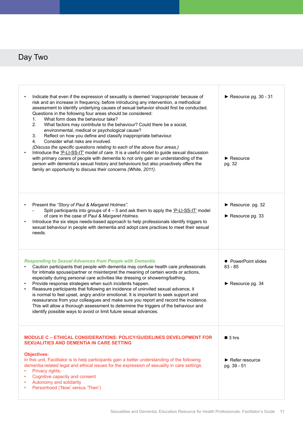| Indicate that even if the expression of sexuality is deemed 'inappropriate' because of<br>risk and an increase in frequency, before introducing any intervention, a methodical<br>assessment to identify underlying causes of sexual behavior should first be conducted.<br>Questions in the following four areas should be considered:<br>What form does the behaviour take?<br>1.<br>2.<br>What factors may contribute to the behaviour? Could there be a social,<br>environmental, medical or psychological cause?<br>3.<br>Reflect on how you define and classify inappropriate behaviour.<br>4.<br>Consider what risks are involved.<br>(Discuss the specific questions relating to each of the above four areas.)<br>Introduce the 'P-LI-SS-IT' model of care. It is a useful model to guide sexual discussion<br>with primary carers of people with dementia to not only gain an understanding of the<br>person with dementia's sexual history and behaviours but also proactively offers the<br>family an opportunity to discuss their concerns (White, 2011). | Resource pg. $30 - 31$<br>$\blacktriangleright$ Resource<br>pg. 32 |
|------------------------------------------------------------------------------------------------------------------------------------------------------------------------------------------------------------------------------------------------------------------------------------------------------------------------------------------------------------------------------------------------------------------------------------------------------------------------------------------------------------------------------------------------------------------------------------------------------------------------------------------------------------------------------------------------------------------------------------------------------------------------------------------------------------------------------------------------------------------------------------------------------------------------------------------------------------------------------------------------------------------------------------------------------------------------|--------------------------------------------------------------------|
| Present the "Story of Paul & Margaret Holmes".<br>Split participants into groups of 4 – 5 and ask them to apply the 'P-LI-SS-IT' model<br>of care in the case of Paul & Margaret Holmes.<br>Introduce the six steps needs-based approach to help professionals identify triggers to<br>sexual behaviour in people with dementia and adopt care practices to meet their sexual<br>needs.                                                                                                                                                                                                                                                                                                                                                                                                                                                                                                                                                                                                                                                                                | Resource pg. 32<br>$\blacktriangleright$ Resource pg. 33           |
| <b>Responding to Sexual Advances from People with Dementia</b><br>Caution participants that people with dementia may confuse health care professionals<br>for intimate spouse/partner or misinterpret the meaning of certain words or actions,<br>especially during personal care activities like dressing or showering/bathing.<br>Provide response strategies when such incidents happen.<br>Reassure participants that following an incidence of uninvited sexual advance, it<br>is normal to feel upset, angry and/or emotional. It is important to seek support and<br>reassurance from your colleagues and make sure you report and record the incidence.<br>This will allow a thorough assessment to determine the triggers of the behaviour and<br>identify possible ways to avoid or limit future sexual advances.                                                                                                                                                                                                                                            | • PowerPoint slides<br>$83 - 85$<br>Resource pg. 34                |
| MODULE C - ETHICAL CONSIDERATIONS: POLICY/GUIDELINES DEVELOPMENT FOR<br><b>SEXUALITIES AND DEMENTIA IN CARE SETTING</b>                                                                                                                                                                                                                                                                                                                                                                                                                                                                                                                                                                                                                                                                                                                                                                                                                                                                                                                                                | $\blacksquare$ 3 hrs                                               |
| <b>Objectives:</b><br>In this unit, Facilitator is to help participants gain a better understanding of the following<br>dementia-related legal and ethical issues for the expression of sexuality in care settings:<br>Privacy rights;<br>Cognitive capacity and consent<br>Autonomy and solidarity<br>Personhood ('Now' versus 'Then')                                                                                                                                                                                                                                                                                                                                                                                                                                                                                                                                                                                                                                                                                                                                | $\blacktriangleright$ Refer resource<br>pg. 39 - 51                |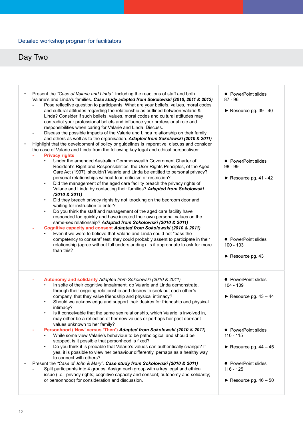#### Detailed workshop program for facilitators

| $\bullet$ | Present the "Case of Valarie and Linda". Including the reactions of staff and both<br>Valarie's and Linda's families. Case study adapted from Sokolowski (2010, 2011 & 2012)<br>Pose reflective question to participants: What are your beliefs, values, moral codes<br>and cultural attitudes regarding the relationship as outlined between Valarie &<br>Linda? Consider if such beliefs, values, moral codes and cultural attitudes may<br>contradict your professional beliefs and influence your professional role and<br>responsibilities when caring for Valarie and Linda. Discuss.<br>Discuss the possible impacts of the Valarie and Linda relationship on their family<br>and others as well as to the organisation. Adapted from Sokolowski (2010 & 2011)<br>Highlight that the development of policy or guidelines is imperative, discuss and consider<br>the case of Valarie and Linda from the following key legal and ethical perspectives:<br><b>Privacy rights</b><br>Under the amended Australian Commonwealth Government Charter of<br>Resident's Right and Responsibilities, the User Rights Principles, of the Aged<br>Care Act (1997), shouldn't Valarie and Linda be entitled to personal privacy?<br>personal relationships without fear, criticism or restriction?<br>Did the management of the aged care facility breach the privacy rights of<br>$\bullet$<br>Valarie and Linda by contacting their families? Adapted from Sokolowski<br>$(2010 \& 2011)$<br>Did they breach privacy rights by not knocking on the bedroom door and<br>$\bullet$<br>waiting for instruction to enter?<br>Do you think the staff and management of the aged care facility have<br>responded too quickly and have injected their own personal values on the<br>same-sex relationship? Adapted from Sokolowski (2010 & 2011)<br>Cognitive capacity and consent Adapted from Sokolowski (2010 & 2011)<br>Even if we were to believe that Valarie and Linda could not "pass the<br>competency to consent" test, they could probably assent to participate in their<br>relationship (agree without full understanding). Is it appropriate to ask for more<br>than this? | • PowerPoint slides<br>87 - 96<br>Resource pg. $39 - 40$<br>• PowerPoint slides<br>98 - 99<br>Resource pg. $41 - 42$<br>• PowerPoint slides<br>100 - 103<br>$\blacktriangleright$ Resource pg. 43 |
|-----------|-------------------------------------------------------------------------------------------------------------------------------------------------------------------------------------------------------------------------------------------------------------------------------------------------------------------------------------------------------------------------------------------------------------------------------------------------------------------------------------------------------------------------------------------------------------------------------------------------------------------------------------------------------------------------------------------------------------------------------------------------------------------------------------------------------------------------------------------------------------------------------------------------------------------------------------------------------------------------------------------------------------------------------------------------------------------------------------------------------------------------------------------------------------------------------------------------------------------------------------------------------------------------------------------------------------------------------------------------------------------------------------------------------------------------------------------------------------------------------------------------------------------------------------------------------------------------------------------------------------------------------------------------------------------------------------------------------------------------------------------------------------------------------------------------------------------------------------------------------------------------------------------------------------------------------------------------------------------------------------------------------------------------------------------------------------------------------------------------------------------------------------------------------------------------------|---------------------------------------------------------------------------------------------------------------------------------------------------------------------------------------------------|
|           | Autonomy and solidarity Adapted from Sokolowski (2010 & 2011)<br>In spite of their cognitive impairment, do Valarie and Linda demonstrate,<br>through their ongoing relationship and desires to seek out each other's<br>company, that they value friendship and physical intimacy?<br>Should we acknowledge and support their desires for friendship and physical<br>intimacy?<br>Is it conceivable that the same sex relationship, which Valarie is involved in,<br>may either be a reflection of her new values or perhaps her past dormant<br>values unknown to her family?<br>Personhood ('Now' versus 'Then') Adapted from Sokolowski (2010 & 2011)<br>While some view Valarie's behaviour to be pathological and should be<br>stopped, is it possible that personhood is fixed?<br>Do you think it is probable that Valarie's values can authentically change? If<br>yes, it is possible to view her behaviour differently, perhaps as a healthy way<br>to connect with others?<br>Present the "Case of John & Mary". Case study from Sokolowski (2010 & 2011)<br>Split participants into 4 groups. Assign each group with a key legal and ethical<br>issue (i.e. privacy rights; cognitive capacity and consent; autonomy and solidarity;<br>or personhood) for consideration and discussion.                                                                                                                                                                                                                                                                                                                                                                                                                                                                                                                                                                                                                                                                                                                                                                                                                                                                         | • PowerPoint slides<br>$104 - 109$<br>Resource pg. $43 - 44$<br>• PowerPoint slides<br>110 - 115<br>Resource pg. $44 - 45$<br>• PowerPoint slides<br>116 - 125<br>Resource pg. $46 - 50$          |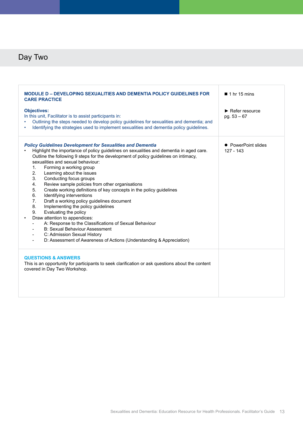| <b>MODULE D - DEVELOPING SEXUALITIES AND DEMENTIA POLICY GUIDELINES FOR</b><br><b>CARE PRACTICE</b>                                                                                                                                                                                                                                                                                                                                                                                                                                                                                                                                                                                                                                                                                                                                                                                                                                              | $\blacksquare$ 1 hr 15 mins                           |
|--------------------------------------------------------------------------------------------------------------------------------------------------------------------------------------------------------------------------------------------------------------------------------------------------------------------------------------------------------------------------------------------------------------------------------------------------------------------------------------------------------------------------------------------------------------------------------------------------------------------------------------------------------------------------------------------------------------------------------------------------------------------------------------------------------------------------------------------------------------------------------------------------------------------------------------------------|-------------------------------------------------------|
| <b>Objectives:</b><br>In this unit, Facilitator is to assist participants in:<br>Outlining the steps needed to develop policy guidelines for sexualities and dementia; and<br>Identifying the strategies used to implement sexualities and dementia policy guidelines.                                                                                                                                                                                                                                                                                                                                                                                                                                                                                                                                                                                                                                                                           | $\blacktriangleright$ Refer resource<br>pg. $53 - 67$ |
| <b>Policy Guidelines Development for Sexualities and Dementia</b><br>Highlight the importance of policy guidelines on sexualities and dementia in aged care.<br>Outline the following 9 steps for the development of policy guidelines on intimacy,<br>sexualities and sexual behaviour:<br>1.<br>Forming a working group<br>2.<br>Learning about the issues<br>3.<br>Conducting focus groups<br>Review sample policies from other organisations<br>4.<br>5.<br>Create working definitions of key concepts in the policy guidelines<br>6.<br>Identifying interventions<br>7.<br>Draft a working policy guidelines document<br>8.<br>Implementing the policy guidelines<br>9.<br>Evaluating the policy<br>Draw attention to appendices:<br>A: Response to the Classifications of Sexual Behaviour<br><b>B: Sexual Behaviour Assessment</b><br>C: Admission Sexual History<br>D: Assessment of Awareness of Actions (Understanding & Appreciation) | • PowerPoint slides<br>$127 - 143$                    |
| <b>QUESTIONS &amp; ANSWERS</b><br>This is an opportunity for participants to seek clarification or ask questions about the content<br>covered in Day Two Workshop.                                                                                                                                                                                                                                                                                                                                                                                                                                                                                                                                                                                                                                                                                                                                                                               |                                                       |